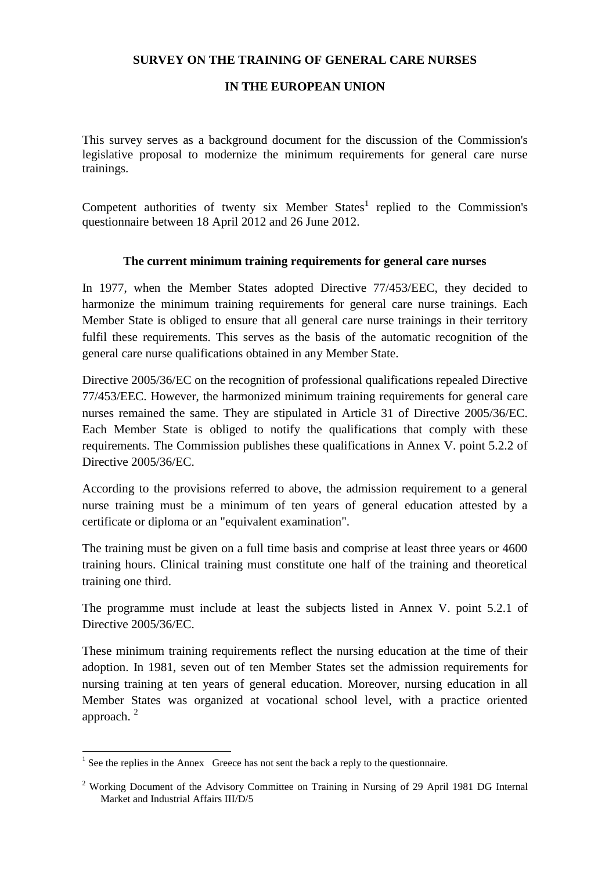## **SURVEY ON THE TRAINING OF GENERAL CARE NURSES**

#### **IN THE EUROPEAN UNION**

This survey serves as a background document for the discussion of the Commission's legislative proposal to modernize the minimum requirements for general care nurse trainings.

Competent authorities of twenty six Member  $States<sup>1</sup>$  replied to the Commission's questionnaire between 18 April 2012 and 26 June 2012.

#### **The current minimum training requirements for general care nurses**

In 1977, when the Member States adopted Directive 77/453/EEC, they decided to harmonize the minimum training requirements for general care nurse trainings. Each Member State is obliged to ensure that all general care nurse trainings in their territory fulfil these requirements. This serves as the basis of the automatic recognition of the general care nurse qualifications obtained in any Member State.

Directive 2005/36/EC on the recognition of professional qualifications repealed Directive 77/453/EEC. However, the harmonized minimum training requirements for general care nurses remained the same. They are stipulated in Article 31 of Directive 2005/36/EC. Each Member State is obliged to notify the qualifications that comply with these requirements. The Commission publishes these qualifications in Annex V. point 5.2.2 of Directive 2005/36/EC.

According to the provisions referred to above, the admission requirement to a general nurse training must be a minimum of ten years of general education attested by a certificate or diploma or an "equivalent examination".

The training must be given on a full time basis and comprise at least three years or 4600 training hours. Clinical training must constitute one half of the training and theoretical training one third.

The programme must include at least the subjects listed in Annex V. point 5.2.1 of Directive 2005/36/EC.

These minimum training requirements reflect the nursing education at the time of their adoption. In 1981, seven out of ten Member States set the admission requirements for nursing training at ten years of general education. Moreover, nursing education in all Member States was organized at vocational school level, with a practice oriented approach. <sup>2</sup>

<sup>&</sup>lt;sup>1</sup> See the replies in the Annex Greece has not sent the back a reply to the questionnaire.

<sup>&</sup>lt;sup>2</sup> Working Document of the Advisory Committee on Training in Nursing of 29 April 1981 DG Internal Market and Industrial Affairs III/D/5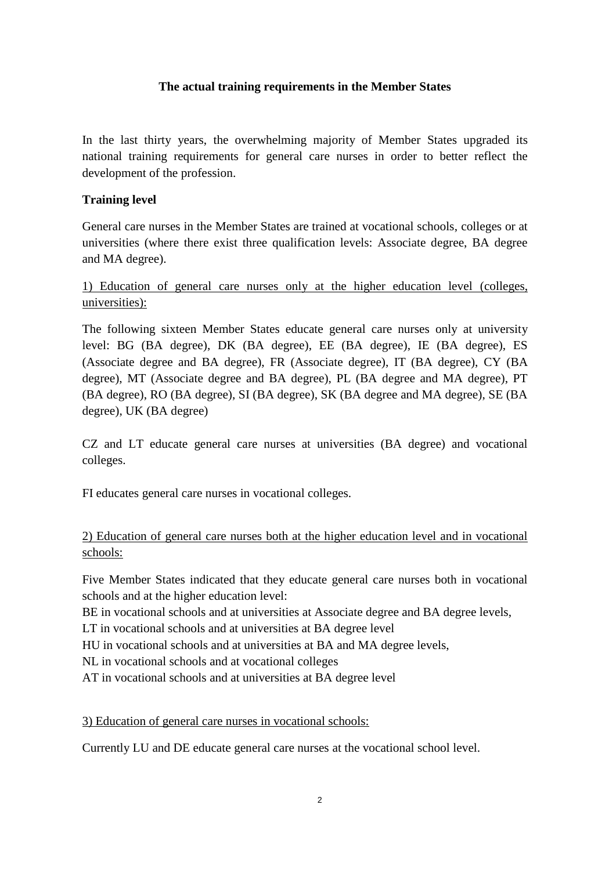### **The actual training requirements in the Member States**

In the last thirty years, the overwhelming majority of Member States upgraded its national training requirements for general care nurses in order to better reflect the development of the profession.

#### **Training level**

General care nurses in the Member States are trained at vocational schools, colleges or at universities (where there exist three qualification levels: Associate degree, BA degree and MA degree).

# 1) Education of general care nurses only at the higher education level (colleges, universities):

The following sixteen Member States educate general care nurses only at university level: BG (BA degree), DK (BA degree), EE (BA degree), IE (BA degree), ES (Associate degree and BA degree), FR (Associate degree), IT (BA degree), CY (BA degree), MT (Associate degree and BA degree), PL (BA degree and MA degree), PT (BA degree), RO (BA degree), SI (BA degree), SK (BA degree and MA degree), SE (BA degree), UK (BA degree)

CZ and LT educate general care nurses at universities (BA degree) and vocational colleges.

FI educates general care nurses in vocational colleges.

# 2) Education of general care nurses both at the higher education level and in vocational schools:

Five Member States indicated that they educate general care nurses both in vocational schools and at the higher education level:

BE in vocational schools and at universities at Associate degree and BA degree levels,

LT in vocational schools and at universities at BA degree level

HU in vocational schools and at universities at BA and MA degree levels,

NL in vocational schools and at vocational colleges

AT in vocational schools and at universities at BA degree level

3) Education of general care nurses in vocational schools:

Currently LU and DE educate general care nurses at the vocational school level.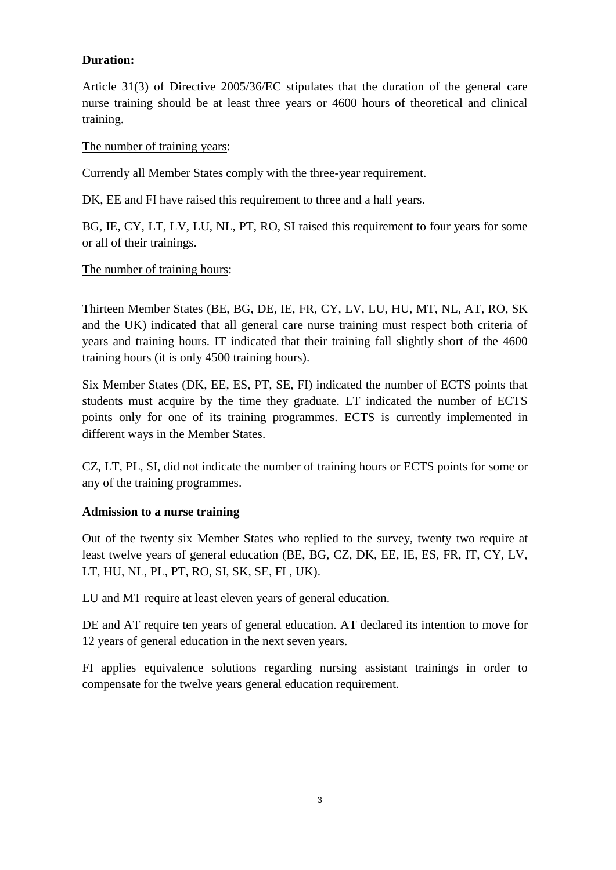## **Duration:**

Article 31(3) of Directive 2005/36/EC stipulates that the duration of the general care nurse training should be at least three years or 4600 hours of theoretical and clinical training.

### The number of training years:

Currently all Member States comply with the three-year requirement.

DK, EE and FI have raised this requirement to three and a half years.

BG, IE, CY, LT, LV, LU, NL, PT, RO, SI raised this requirement to four years for some or all of their trainings.

#### The number of training hours:

Thirteen Member States (BE, BG, DE, IE, FR, CY, LV, LU, HU, MT, NL, AT, RO, SK and the UK) indicated that all general care nurse training must respect both criteria of years and training hours. IT indicated that their training fall slightly short of the 4600 training hours (it is only 4500 training hours).

Six Member States (DK, EE, ES, PT, SE, FI) indicated the number of ECTS points that students must acquire by the time they graduate. LT indicated the number of ECTS points only for one of its training programmes. ECTS is currently implemented in different ways in the Member States.

CZ, LT, PL, SI, did not indicate the number of training hours or ECTS points for some or any of the training programmes.

## **Admission to a nurse training**

Out of the twenty six Member States who replied to the survey, twenty two require at least twelve years of general education (BE, BG, CZ, DK, EE, IE, ES, FR, IT, CY, LV, LT, HU, NL, PL, PT, RO, SI, SK, SE, FI , UK).

LU and MT require at least eleven years of general education.

DE and AT require ten years of general education. AT declared its intention to move for 12 years of general education in the next seven years.

FI applies equivalence solutions regarding nursing assistant trainings in order to compensate for the twelve years general education requirement.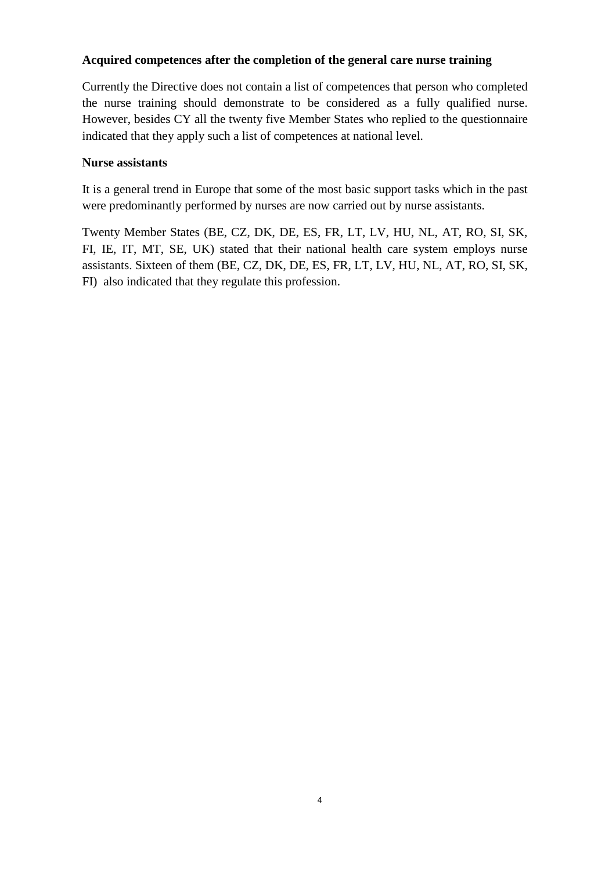## **Acquired competences after the completion of the general care nurse training**

Currently the Directive does not contain a list of competences that person who completed the nurse training should demonstrate to be considered as a fully qualified nurse. However, besides CY all the twenty five Member States who replied to the questionnaire indicated that they apply such a list of competences at national level.

## **Nurse assistants**

It is a general trend in Europe that some of the most basic support tasks which in the past were predominantly performed by nurses are now carried out by nurse assistants.

Twenty Member States (BE, CZ, DK, DE, ES, FR, LT, LV, HU, NL, AT, RO, SI, SK, FI, IE, IT, MT, SE, UK) stated that their national health care system employs nurse assistants. Sixteen of them (BE, CZ, DK, DE, ES, FR, LT, LV, HU, NL, AT, RO, SI, SK, FI) also indicated that they regulate this profession.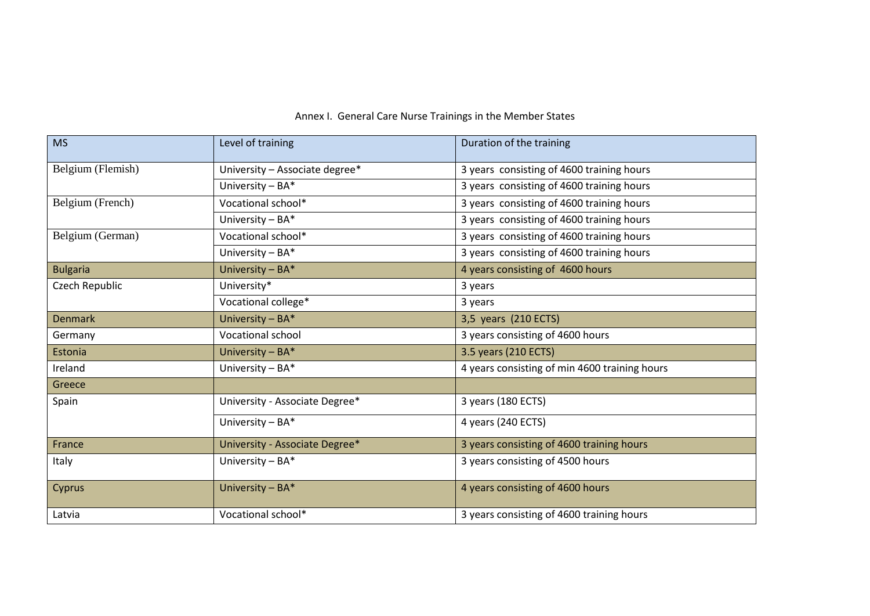| <b>MS</b>         | Level of training              | Duration of the training                      |
|-------------------|--------------------------------|-----------------------------------------------|
| Belgium (Flemish) | University - Associate degree* | 3 years consisting of 4600 training hours     |
|                   | University $- BA^*$            | 3 years consisting of 4600 training hours     |
| Belgium (French)  | Vocational school*             | 3 years consisting of 4600 training hours     |
|                   | University $- BA*$             | 3 years consisting of 4600 training hours     |
| Belgium (German)  | Vocational school*             | 3 years consisting of 4600 training hours     |
|                   | University $- BA^*$            | 3 years consisting of 4600 training hours     |
| <b>Bulgaria</b>   | University - BA*               | 4 years consisting of 4600 hours              |
| Czech Republic    | University*                    | 3 years                                       |
|                   | Vocational college*            | 3 years                                       |
| <b>Denmark</b>    | University - BA*               | 3,5 years (210 ECTS)                          |
| Germany           | <b>Vocational school</b>       | 3 years consisting of 4600 hours              |
| Estonia           | University - BA*               | 3.5 years (210 ECTS)                          |
| Ireland           | University $- BA^*$            | 4 years consisting of min 4600 training hours |
| Greece            |                                |                                               |
| Spain             | University - Associate Degree* | 3 years (180 ECTS)                            |
|                   | University - BA*               | 4 years (240 ECTS)                            |
| France            | University - Associate Degree* | 3 years consisting of 4600 training hours     |
| Italy             | University - BA*               | 3 years consisting of 4500 hours              |
| Cyprus            | University $- BA^*$            | 4 years consisting of 4600 hours              |
| Latvia            | Vocational school*             | 3 years consisting of 4600 training hours     |

# Annex I. General Care Nurse Trainings in the Member States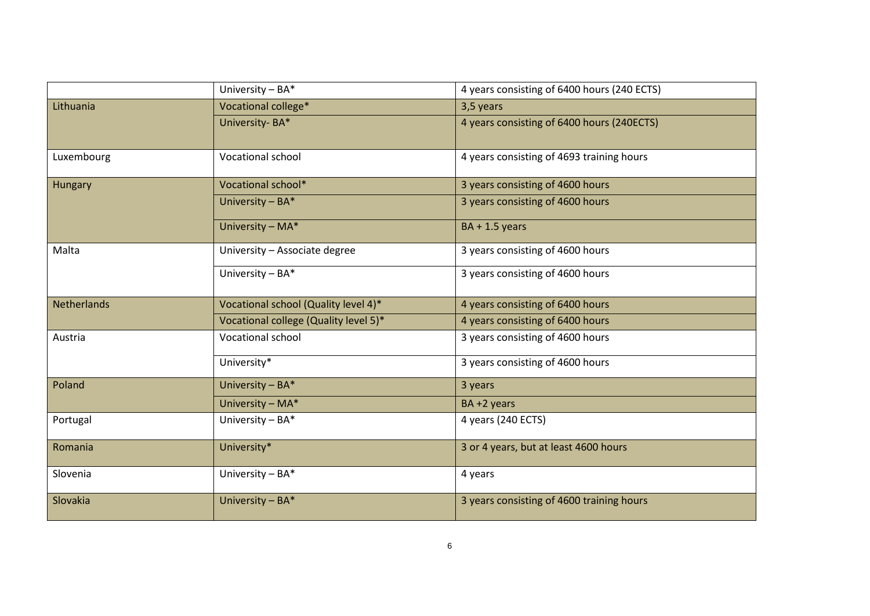|                    | University - BA*                      | 4 years consisting of 6400 hours (240 ECTS) |
|--------------------|---------------------------------------|---------------------------------------------|
| Lithuania          | Vocational college*                   | 3,5 years                                   |
|                    | University-BA*                        | 4 years consisting of 6400 hours (240ECTS)  |
| Luxembourg         | Vocational school                     | 4 years consisting of 4693 training hours   |
| Hungary            | Vocational school*                    | 3 years consisting of 4600 hours            |
|                    | University $- BA*$                    | 3 years consisting of 4600 hours            |
|                    | University - MA*                      | $BA + 1.5$ years                            |
| Malta              | University - Associate degree         | 3 years consisting of 4600 hours            |
|                    | University - BA*                      | 3 years consisting of 4600 hours            |
| <b>Netherlands</b> | Vocational school (Quality level 4)*  | 4 years consisting of 6400 hours            |
|                    | Vocational college (Quality level 5)* | 4 years consisting of 6400 hours            |
| Austria            | Vocational school                     | 3 years consisting of 4600 hours            |
|                    | University*                           | 3 years consisting of 4600 hours            |
| Poland             | University - BA*                      | 3 years                                     |
|                    | University - MA*                      | BA+2 years                                  |
| Portugal           | University - BA*                      | 4 years (240 ECTS)                          |
| Romania            | University*                           | 3 or 4 years, but at least 4600 hours       |
| Slovenia           | University - BA*                      | 4 years                                     |
| Slovakia           | University - BA*                      | 3 years consisting of 4600 training hours   |